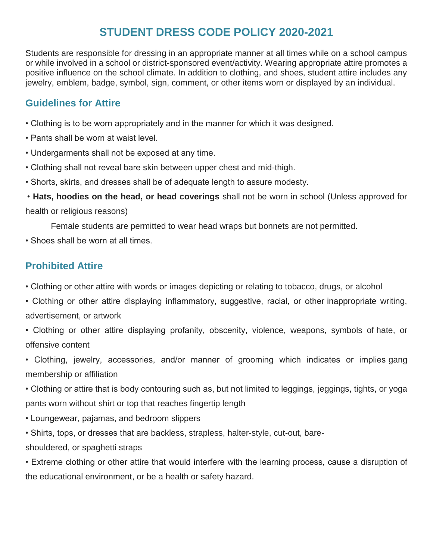# **STUDENT DRESS CODE POLICY 2020-2021**

Students are responsible for dressing in an appropriate manner at all times while on a school campus or while involved in a school or district-sponsored event/activity. Wearing appropriate attire promotes a positive influence on the school climate. In addition to clothing, and shoes, student attire includes any jewelry, emblem, badge, symbol, sign, comment, or other items worn or displayed by an individual.

#### **Guidelines for Attire**

- Clothing is to be worn appropriately and in the manner for which it was designed.
- Pants shall be worn at waist level.
- Undergarments shall not be exposed at any time.
- Clothing shall not reveal bare skin between upper chest and mid-thigh.
- Shorts, skirts, and dresses shall be of adequate length to assure modesty.

• **Hats, hoodies on the head, or head coverings** shall not be worn in school (Unless approved for health or religious reasons)

Female students are permitted to wear head wraps but bonnets are not permitted.

• Shoes shall be worn at all times.

## **Prohibited Attire**

- Clothing or other attire with words or images depicting or relating to tobacco, drugs, or alcohol
- Clothing or other attire displaying inflammatory, suggestive, racial, or other inappropriate writing, advertisement, or artwork
- Clothing or other attire displaying profanity, obscenity, violence, weapons, symbols of hate, or offensive content

• Clothing, jewelry, accessories, and/or manner of grooming which indicates or implies gang membership or affiliation

• Clothing or attire that is body contouring such as, but not limited to leggings, jeggings, tights, or yoga pants worn without shirt or top that reaches fingertip length

- Loungewear, pajamas, and bedroom slippers
- Shirts, tops, or dresses that are backless, strapless, halter-style, cut-out, bare-
- shouldered, or spaghetti straps

• Extreme clothing or other attire that would interfere with the learning process, cause a disruption of the educational environment, or be a health or safety hazard.